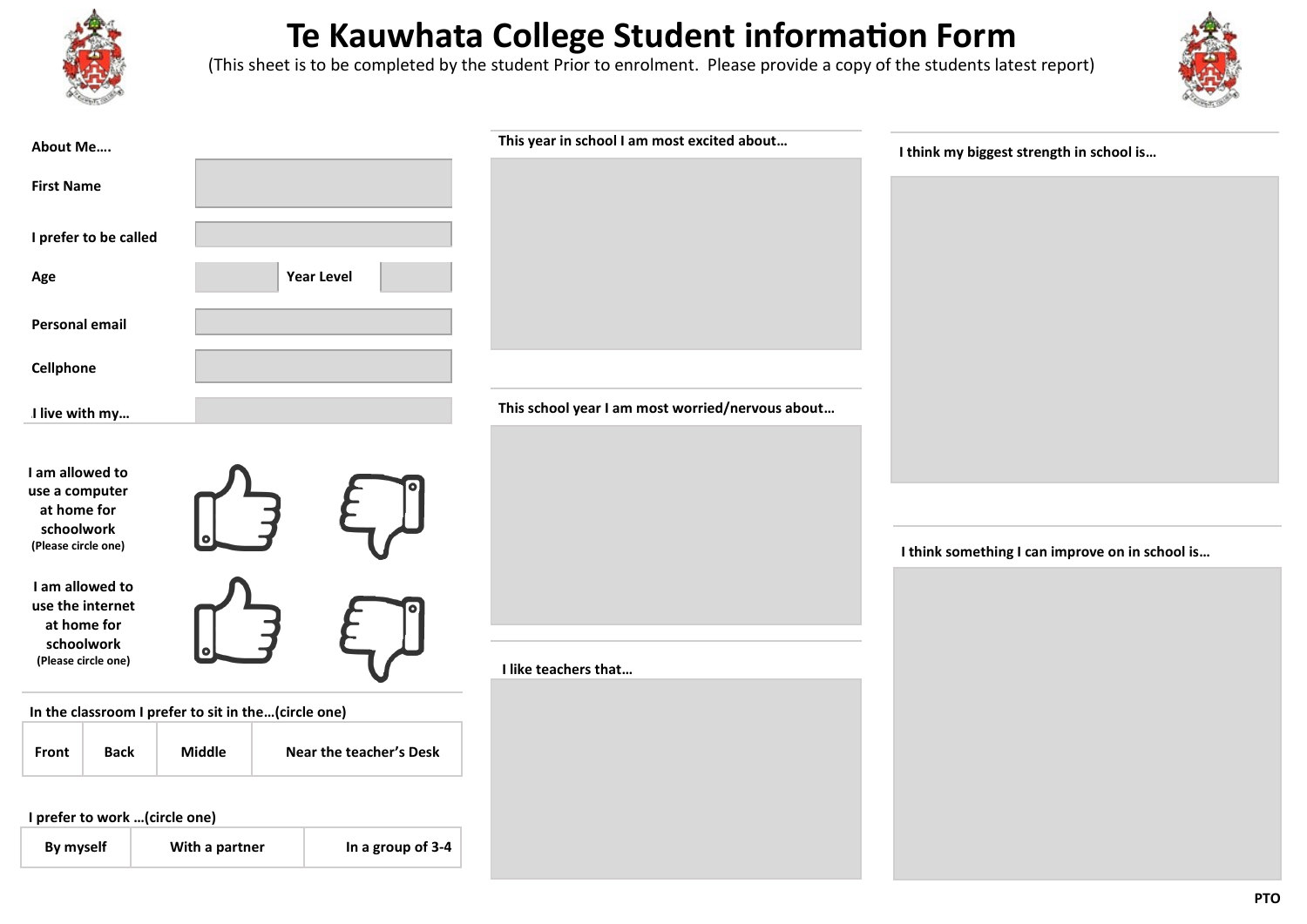

## **Te Kauwhata College Student information Form**

(This sheet is to be completed by the student Prior to enrolment. Please provide a copy of the students latest report)



| About Me                                                                           |               |                         | This year in school I am most excited about      | I think my biggest strength in school is        |
|------------------------------------------------------------------------------------|---------------|-------------------------|--------------------------------------------------|-------------------------------------------------|
| <b>First Name</b>                                                                  |               |                         |                                                  |                                                 |
| I prefer to be called                                                              |               |                         |                                                  |                                                 |
|                                                                                    |               |                         |                                                  |                                                 |
| Age                                                                                |               | <b>Year Level</b>       |                                                  |                                                 |
| <b>Personal email</b>                                                              |               |                         |                                                  |                                                 |
| Cellphone                                                                          |               |                         |                                                  |                                                 |
| I live with my                                                                     |               |                         | This school year I am most worried/nervous about |                                                 |
|                                                                                    |               |                         |                                                  |                                                 |
| I am allowed to<br>use a computer                                                  |               |                         |                                                  |                                                 |
| at home for<br>schoolwork                                                          |               |                         |                                                  |                                                 |
| (Please circle one)                                                                |               |                         |                                                  | I think something I can improve on in school is |
| I am allowed to                                                                    |               |                         |                                                  |                                                 |
| use the internet<br>at home for                                                    |               |                         |                                                  |                                                 |
| schoolwork<br>(Please circle one)                                                  |               |                         |                                                  |                                                 |
|                                                                                    |               |                         | I like teachers that                             |                                                 |
| In the classroom I prefer to sit in the(circle one)                                |               |                         |                                                  |                                                 |
| <b>Back</b><br>Front                                                               | <b>Middle</b> | Near the teacher's Desk |                                                  |                                                 |
|                                                                                    |               |                         |                                                  |                                                 |
| I prefer to work  (circle one)<br>In a group of 3-4<br>By myself<br>With a partner |               |                         |                                                  |                                                 |
|                                                                                    |               |                         |                                                  |                                                 |
|                                                                                    |               |                         |                                                  | DT <sub>4</sub>                                 |